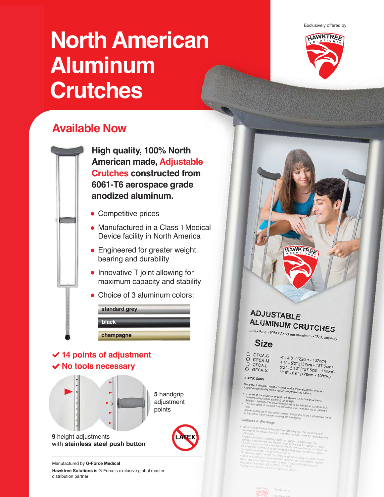Exclusively offered by

# **North American Aluminum Crutches**



## **Available Now**

**High quality, 100% North American made, Adjustable Crutches constructed from 6061-T6 aerospace grade anodized aluminum.**

- Competitive prices
- Manufactured in a Class 1 Medical Device facility in North America
- **Engineered for greater weight** bearing and durability
- Innovative T joint allowing for maximum capacity and stability
- Choice of 3 aluminum colors:

| standard grey |  |
|---------------|--|
| <b>black</b>  |  |
| champagne     |  |

#### **14 points of adjustment No tools necessary**



with **stainless steel push button**

Manufactured by **G-Force Medical Hawktree Solutions** is G-Force's exclusive global master distribution partner

#### ADJUSTABLE ALUMINUM CRUTCHES Latex Free · 60617 Anodized Aluminum · 350lb capacity **Size** O GFCA-S 4' - 4'6" (122cm - 137cm)<br>4'6" - 5'2" (137cm - 157,5cm)<br>5'2" - 5'10" (157,5cm - 178cm)<br>5'10" - 6'6" (178cm - 198cm) O GFCA-M O GFCA-L O GFCA-XL Instructions

AWKTREE

- ent should consult a trained health pn<br>Int and to be instructed on negati proper walking p
- e top of the crutches should be between 1.5 to 2 inches below<br>lent's armoir while standing up straight.<br>ust crutches to the canding up straight.
- I's armpit while standing up<br>crutches to the correct heir
- indgrips to the correct height. The
- 

#### Cautions & Warnings

- 
- 
- 
- 
-